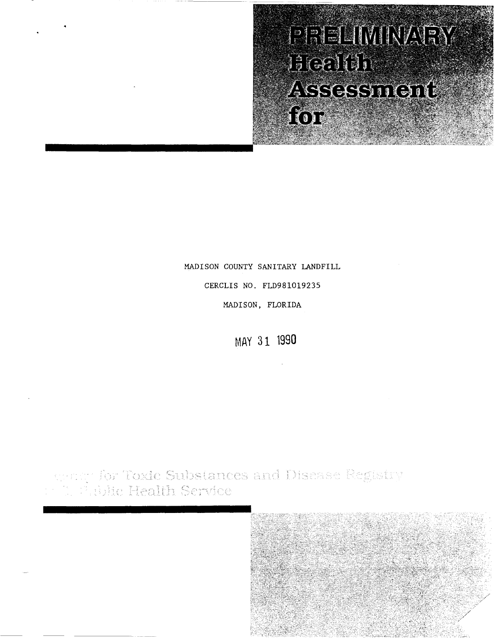PRELIMINARY 3362161 ASSESSMONE for

## MADISON COUNTY SANITARY LANDFILL

CERCLIS NO. FLD981019235

MADISON, FLORIDA

**MAY 31 1990** 

spring for <mark>Toxic Substances and Dis</mark>ease Registry.<br>[1] Philite Health Service

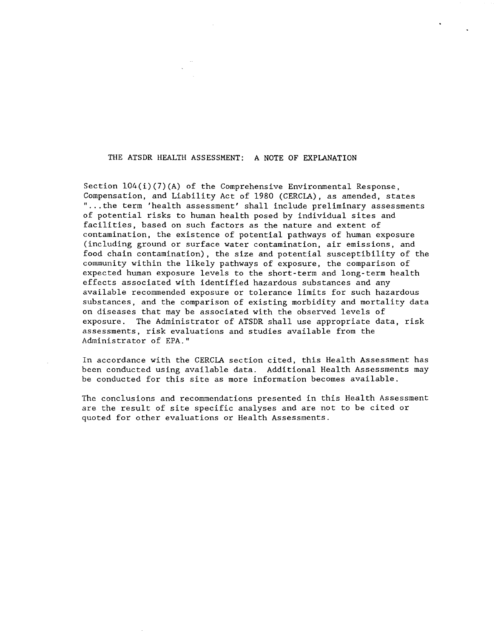## THE ATSDR HEALTH ASSESSMENT: A NOTE OF EXPLANATION

Section 104(i)(7)(A) of the Comprehensive Environmental Response, Compensation, and Liability Act of 1980 (CERCLA), as amended, states " ... the term 'health assessment' shall include preliminary assessments of potential risks to human health posed by individual sites and facilities, based on such factors as the nature and extent of contamination, the existence of potential pathways of human exposure (including ground or surface water contamination, air emissions, and food chain contamination), the size and potential susceptibility of the community within the likely pathways of exposure, the comparison of expected human exposure levels to the short-term and long-term health effects associated with identified hazardous substances and any available recommended exposure or tolerance limits for such hazardous substances, and the comparison of existing morbidity and mortality data on diseases that may be associated with the observed levels of exposure. The Administrator of ATSDR shall use appropriate data, risk assessments, risk evaluations and studies available from the Administrator of EPA."

In accordance with the CERCLA section cited, this Health Assessment has been conducted using available data. Additional Health Assessments may be conducted for this site as more information becomes available.

The conclusions and recommendations presented in this Health Assessment are the result of site specific analyses and are not to be cited or quoted for other evaluations or Health Assessments.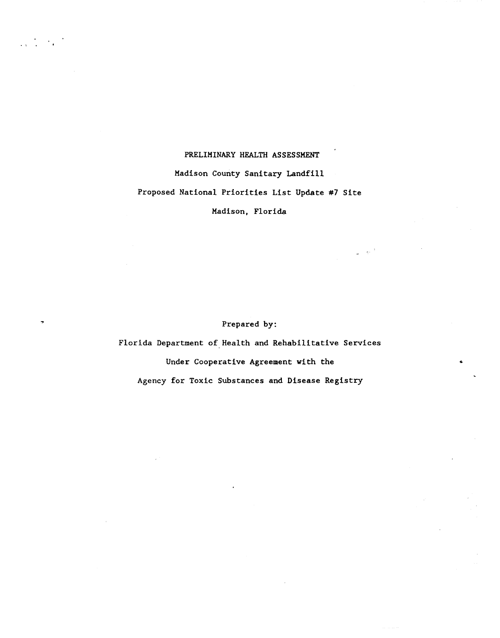## PRELIMINARY HEALTH ASSESSMENT

# Madison County Sanitary Landfill

# Proposed National Priorities List Update #7 Site

# Madison, Florida

 $\frac{1}{2}$  , with

Prepared by:

Florida Department of Health and Rehabilitative Services Under Cooperative Agreement with the Agency for Toxic Substances and Disease Registry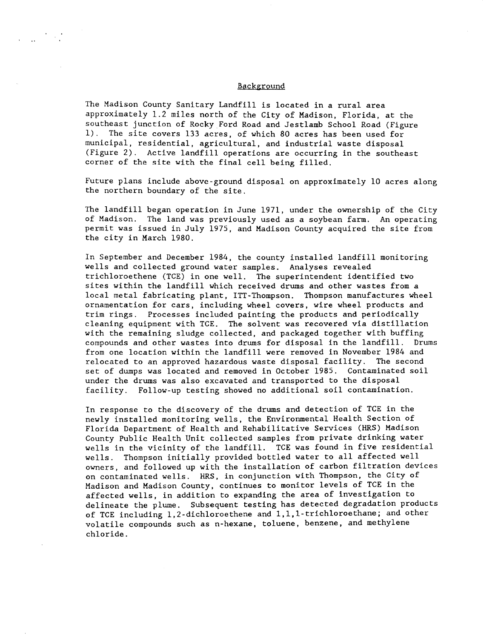### Background

The Madison County Sanitary Landfill is located in a rural area approximately 1.2 miles north of the City of Madison, Florida, at the southeast junction of Rocky Ford Road and Jestlamb School Road (Figure 1). The site covers 133 acres, of which 80 acres has been used for municipal, residential, agricultural, and industrial waste disposal (Figure 2). Active landfill operations are occurring in the southeast corner of the site with the final cell being filled.

Future plans include above-ground disposal on approximately 10 acres along the northern boundary of the site.

The landfill began operation in June 1971, under the ownership of the City of Madison. The land was previously used as a soybean farm. An operating permit was issued in July 1975, and Madison County acquired the site from the city in March 1980.

In September and December 1984, the county installed landfill monitoring wells and collected ground water samples. Analyses revealed trichloroethene (TCE) in one well. The superintendent identified two sites within the landfill which received drums and other wastes from a local metal fabricating plant, ITT-Thompson. Thompson manufactures wheel ornamentation for cars, including wheel covers, wire wheel products and trim rings. Processes included painting the products and periodically cleaning equipment with TCE. The solvent was recovered via distillation with the remaining sludge collected, and packaged together with buffing compounds and other wastes into drums for disposal in the landfill. Drums from one location within the landfill were removed in November 1984 and relocated to an approved hazardous waste disposal facility. The second set of dumps was located and removed in October 1985. Contaminated soil under the drums was also excavated and transported to the disposal facility. Follow-up testing showed no additional soil contamination.

In response to the discovery of the drums and detection of TCE in the newly installed monitoring wells, the Environmental Health Section of Florida Department of Health and Rehabilitative Services (HRS) Madison County Public Health Unit collected samples from private drinking water wells in the vicinity of the landfill. TCE was found in five residential wells. Thompson initially provided bottled water to all affected well owners, and followed up with the installation of carbon filtration devices on contaminated wells. HRS, in conjunction with Thompson, the City of Madison and Madison County, continues to monitor levels of TCE in the affected wells, in addition to expanding the area of investigation to delineate the plume. Subsequent testing has detected degradation products of TCE including 1,2-dichloroethene and 1,1,1-trichloroethane; and other volatile compounds such as n-hexane, toluene, benzene, and methylene chloride.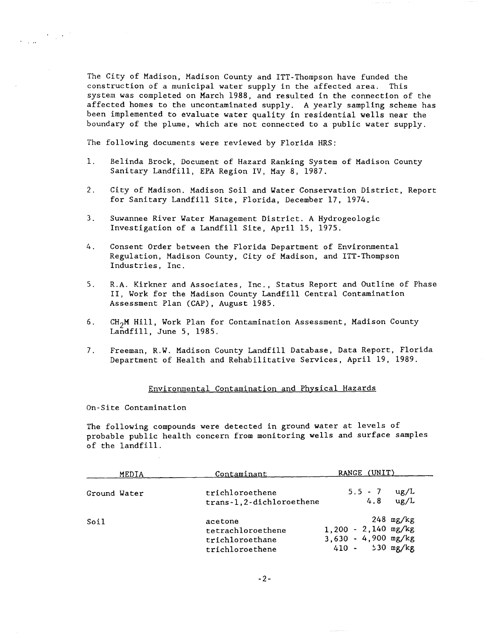The City of Madison, Madison County and ITT-Thompson have funded the construction of a municipal water supply in the affected area. This system *was* completed on March 1988, and resulted in the connection of the affected homes to the uncontaminated supply. A yearly sampling scheme has been implemented to evaluate water quality in residential wells near the boundary of the plume, which are not connected to a public water supply.

The following documents were reviewed by Florida HRS:

- 1. Belinda Brock, Document of Hazard Ranking System of Madison County Sanitary Landfill, EPA Region IV, May 8, 1987.
- 2. City of Madison. Madison Soil and Water Conservation District, Report for Sanitary Landfill Site, Florida, December 17, 1974.
- 3. Suwannee River Water Management District. A Hydrogeologic Investigation of a Landfill Site, April 15, 1975.
- 4. Consent Order between the Florida Department of Environmental Regulation, Madison County, City of Madison, and ITT-Thompson Industries, Inc.
- S. R.A. Kirkner and Associates, Inc., Status Report and Outline of Phase II, Work for the Madison County Landfill Central Contamination Assessment Plan (CAP), August 1985.
- 6. CH2M Hill, Work Plan for Contamination Assessment, Madison County Landfill, June 5, 1985.
- 7. Freeman, *R.W.* Madison County Landfill Database, Data Report, Florida Department of Health and Rehabilitative Services, April 19, 1989.

#### Environmental Contamination and Physical Hazards

On-Site Contamination

 $\label{eq:2} \frac{1}{2}\sum_{i=1}^n\frac{1}{2\pi i}\sum_{j=1}^n\frac{1}{2\pi i}\sum_{j=1}^n\frac{1}{2\pi i}\sum_{j=1}^n\frac{1}{2\pi i}\sum_{j=1}^n\frac{1}{2\pi i}\sum_{j=1}^n\frac{1}{2\pi i}\sum_{j=1}^n\frac{1}{2\pi i}\sum_{j=1}^n\frac{1}{2\pi i}\sum_{j=1}^n\frac{1}{2\pi i}\sum_{j=1}^n\frac{1}{2\pi i}\sum_{j=1}^n\frac{1}{2\pi i}\sum_{j=1}^n$ 

The following compounds were detected in ground water at levels of probable public health concern from monitoring wells and surface samples of the landfill.

|              | MEDIA | Contaminant                                                        | RANGE (UNIT)                                                                     |
|--------------|-------|--------------------------------------------------------------------|----------------------------------------------------------------------------------|
| Ground Water |       | trichloroethene<br>trans-1,2-dichloroethene                        | $5.5 - 7$<br>$\mu$ g/L<br>ug/L<br>4.8                                            |
| Soil         |       | acetone<br>tetrachloroethene<br>trichloroethane<br>trichloroethene | $248$ mg/kg<br>$1,200 - 2,140$ mg/kg<br>$3,630 - 4,900$ mg/kg<br>410 - 530 mg/kg |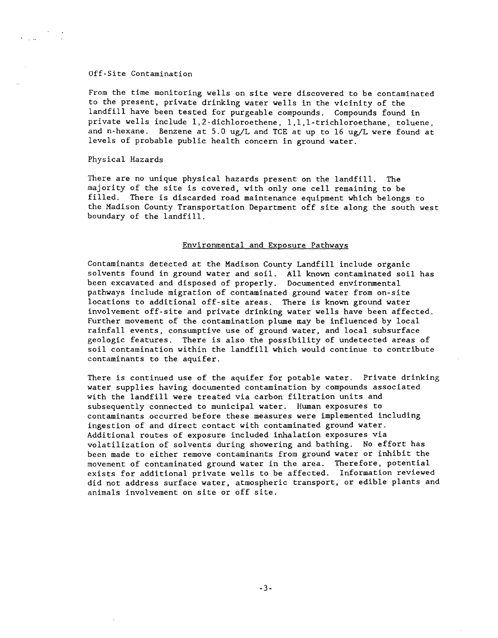#### Off-Site Contamination

From the time monitoring wells on site were discovered to be contaminated to the present, private drinking water wells in the vicinity of the landfill have been tested for purgeable compounds. Compounds found in private wells include 1,2-dichloroethene, l,l,l-trichloroethane, toluene, and n-hexane. Benzene at 5.0 ug/L and TCE at up to 16 ug/L were found at levels of probable public health concern in ground water.

#### Physical Hazards

There are no unique physical hazards present on the landfill. The majority of the site is covered, with only one cell remaining to be filled. There is discarded road maintenance equipment which belongs to the Madison County Transportation Department off site along the south west boundary of the landfill.

### Environmental and Exposure Pathways

Contaminants detected at the Madison County Landfill include organic solvents found in ground water and soil. All known contaminated soil has been excavated and disposed of properly. Documented environmental pathways include migration of contaminated ground water from on-site locations to additional off-site areas. There is known ground water involvement off-site and private drinking water wells have been affected. Further movement of the contamination plume may be influenced by local rainfall events, consumptive use of ground water, and local subsurface geologiC features. There is also the possibility of undetected areas of soil contamination within the landfill which would continue to contribute contaminants to the aquifer.

There is continued use of the aquifer for potable water. Private drinking water supplies having documented contamination by compounds associated with the landfill were treated via carbon filtration units and subsequently connected to municipal water. Human exposures to contaminants occurred before these measures were implemented including ingestion of and direct contact with contaminated ground water. Additional routes of exposure included inhalation exposures via volatilization of solvents during showering and bathing. No effort has been made to either remove contaminants from ground water or inhibit the movement of contaminated ground water in the area. Therefore, potential exists for additional private wells to be affected. Information reviewed did not address surface water, atmospheric transport, or edible plants and animals involvement on site or off site.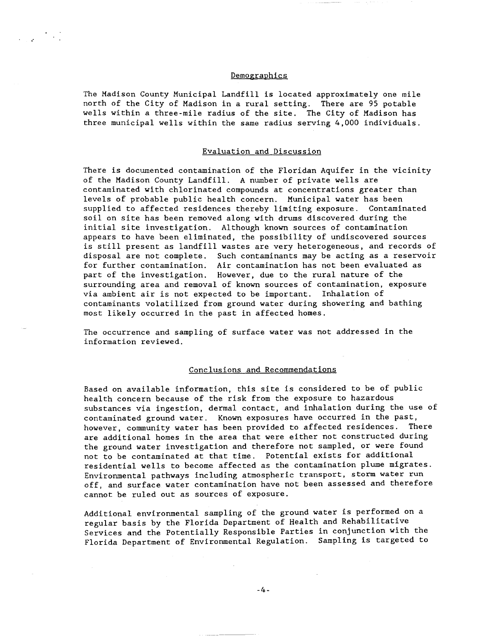### Demographics

The Madison County Municipal Landfill is located approximately one mile north of the City of Madison in a rural setting. There are 95 potable wells within a three-mile radius of the site. The City of Madison has three municipal wells within the same radius serving 4,000 individuals.

## Evaluation and Discussion

There is documented contamination of the Floridan Aquifer in the vicinity of the Madison County Landfill. A number of private wells are contaminated with chlorinated compounds at concentrations greater than levels of probable public health concern. Municipal water has been supplied to affected residences thereby limiting exposure. Contaminated soil on site has been removed along with drums discovered during the initial site investigation. Although known sources of contamination appears to have been eliminated, the possibility of undiscovered sources is still present as landfill wastes are very heterogeneous, and records of disposal are not complete. Such contaminants may be acting as a reservoir for further contamination. Air contamination has not been evaluated as part of the investigation. However, due to the rural nature of the surrounding area and removal of known sources of contamination, exposure via ambient air is not expected to be important. Inhalation of contaminants volatilized from ground water during showering and bathing most likely occurred in the past in affected homes.

The occurrence and sampling of surface water was not addressed in the information reviewed.

#### Conclusions and Recommendations

Based on available information, this site is considered to be of public health concern because of the risk from the exposure to hazardous substances via ingestion, dermal contact, and inhalation during the use of contaminated ground water. Known exposures have occurred in the past, however, community water has been provided to affected residences. There are additional homes in the area that were either not constructed during the ground water investigation and therefore not sampled, or were found not to be contaminated at that time. Potential exists for additional residential wells to become affected as the contamination plume migrates. Environmental pathways including atmospheric transport, storm water run off, and surface water contamination have not been assessed and therefore cannot be ruled out as sources of exposure.

Additional environmental sampling of the ground water is performed on a regular basis by the Florida Department of Health and Rehabilitative Services and the Potentially Responsible Parties in conjunction with the Florida Department of Environmental Regulation. Sampling is targeted to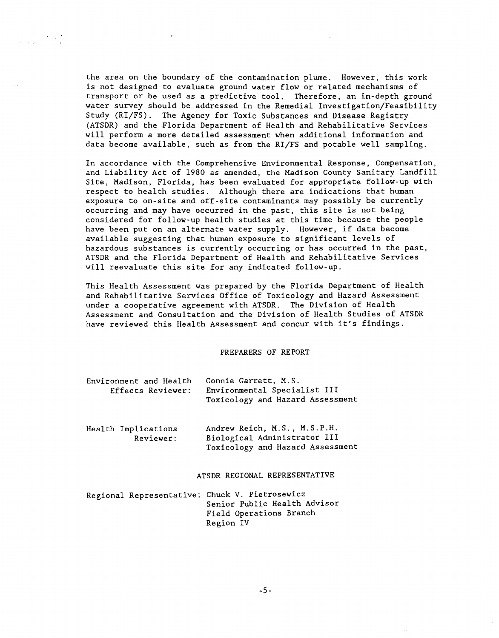the area on the boundary of the contamination plume. However, this work is not designed to evaluate ground water flow or related mechanisms of transport or be used as a predictive tool. Therefore, an in-depth ground water survey should be addressed in the Remedial Investigation/Feasibility Study (RI/FS). The Agency for Toxic Substances and Disease Registry (ATSDR) and the Florida Department of Health and Rehabilitative Services will perform a more detailed assessment when additional information and data become available, such as from the RI/FS and potable well sampling.

 $\sim 200$  km s  $^{-1}$ 

In accordance with the Comprehensive Environmental Response, Compensation, and Liability Act of 1980 as amended, the Madison County Sanitary Landfill Site, Madison, Florida, has been evaluated for appropriate follow-up with respect to health studies. Although there are indications that human exposure to on-site and off-site contaminants may possibly be currently occurring and may have occurred in the past, this site is not being considered for follow-up health studies at this time because the people have been put on an alternate water supply. However, if data become available suggesting that human exposure to significant levels of hazardous substances is currently occurring or has occurred in the past, ATSDR and the Florida Department of Health and Rehabilitative Services will reevaluate this site for any indicated follow-up.

This Health Assessment was prepared by the Florida Department of Health and Rehabilitative Services Office of Toxicology and Hazard Assessment under a cooperative agreement with ATSDR. The Division of Health Assessment and Consultation and the Division of Health Studies of ATSDR have reviewed this Health Assessment and concur with it's findings.

## PREPARERS OF REPORT

| Environment and Health | Connie Garrett. M.S.                                             |
|------------------------|------------------------------------------------------------------|
| Effects Reviewer:      | Environmental Specialist III<br>Toxicology and Hazard Assessment |
|                        |                                                                  |

|  | Health Implications | Andrew Reich, M.S., M.S.P.H.     |
|--|---------------------|----------------------------------|
|  | Reviewer:           | Biological Administrator III     |
|  |                     | Toxicology and Hazard Assessment |

#### ATSDR REGIONAL REPRESENTATIVE

Regional Representative: Chuck V. Pietrosewicz Senior Public Health Advisor Field Operations Branch Region IV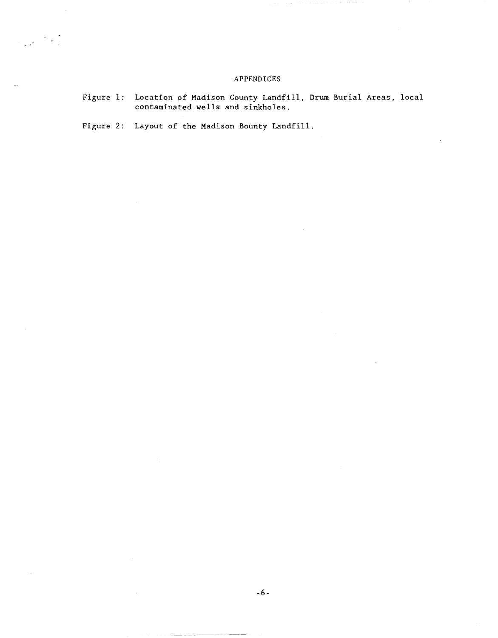## APPENDICES

Figure 1: Location of Madison County Landfill, Drum Burial Areas, local contaminated wells and sinkholes.

Figure 2: Layout of the Madison Bounty Landfill.

 $\frac{1}{\sqrt{2}}\left(\frac{1}{\sqrt{2}}\right)^{2}+\frac{1}{\sqrt{2}}\left(\frac{1}{\sqrt{2}}\right)^{2}$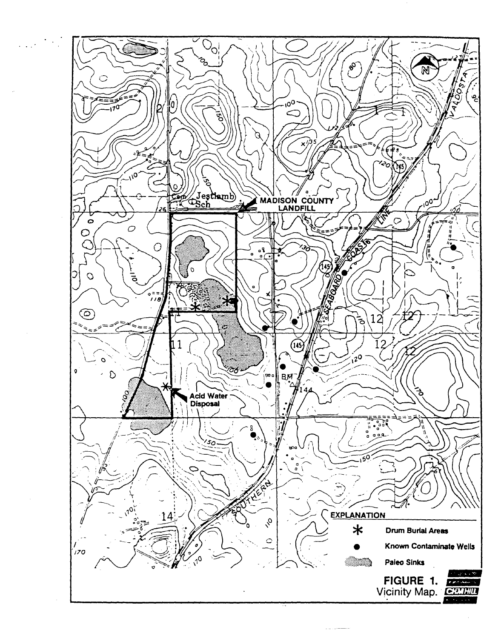